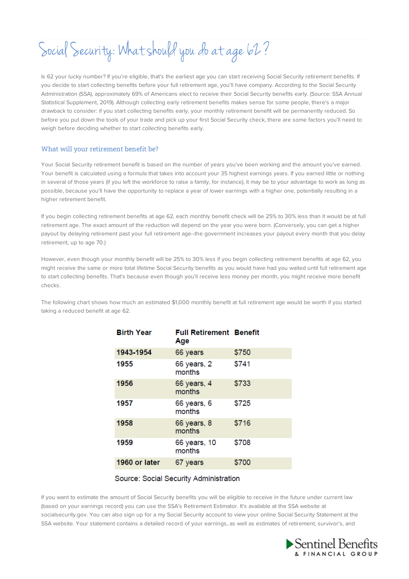# Social Security: What should you do at age 62?

Is 62 your lucky number? If you're eligible, that's the earliest age you can start receiving Social Security retirement benefits. If you decide to start collecting benefits before your full retirement age, you'll have company. According to the Social Security Administration (SSA), approximately 69% of Americans elect to receive their Social Security benefits early. (Source: SSA Annual Statistical Supplement, 2019). Although collecting early retirement benefits makes sense for some people, there's a major drawback to consider: if you start collecting benefits early, your monthly retirement benefit will be permanently reduced. So before you put down the tools of your trade and pick up your first Social Security check, there are some factors you'll need to weigh before deciding whether to start collecting benefits early.

## What will your retirement benefit be?

Your Social Security retirement benefit is based on the number of years you've been working and the amount you've earned. Your benefit is calculated using a formula that takes into account your 35 highest earnings years. If you earned little or nothing in several of those years (if you left the workforce to raise a family, for instance), it may be to your advantage to work as long as possible, because you'll have the opportunity to replace a year of lower earnings with a higher one, potentially resulting in a higher retirement benefit.

If you begin collecting retirement benefits at age 62, each monthly benefit check will be 25% to 30% less than it would be at full retirement age. The exact amount of the reduction will depend on the year you were born. (Conversely, you can get a higher payout by delaying retirement past your full retirement age--the government increases your payout every month that you delay retirement, up to age 70.)

However, even though your monthly benefit will be 25% to 30% less if you begin collecting retirement benefits at age 62, you might receive the same or more total lifetime Social Security benefits as you would have had you waited until full retirement age to start collecting benefits. That's because even though you'll receive less money per month, you might receive more benefit checks.

The following chart shows how much an estimated \$1,000 monthly benefit at full retirement age would be worth if you started taking a reduced benefit at age 62.

| <b>Birth Year</b> | <b>Full Retirement Benefit</b><br>Age |       |
|-------------------|---------------------------------------|-------|
| 1943-1954         | 66 years                              | \$750 |
| 1955              | 66 years, 2<br>months                 | \$741 |
| 1956              | 66 years, 4<br>months                 | \$733 |
| 1957              | 66 years, 6<br>months                 | \$725 |
| 1958              | 66 years, 8<br>months                 | \$716 |
| 1959              | 66 years, 10<br>months                | \$708 |
| 1960 or later     | 67 years                              | \$700 |

## Source: Social Security Administration

If you want to estimate the amount of Social Security benefits you will be eligible to receive in the future under current law (based on your earnings record) you can use the SSA's Retirement Estimator. It's available at the SSA website at socialsecurity.gov. You can also sign up for a my Social Security account to view your online Social Security Statement at the SSA website. Your statement contains a detailed record of your earnings, as well as estimates of retirement, survivor's, and

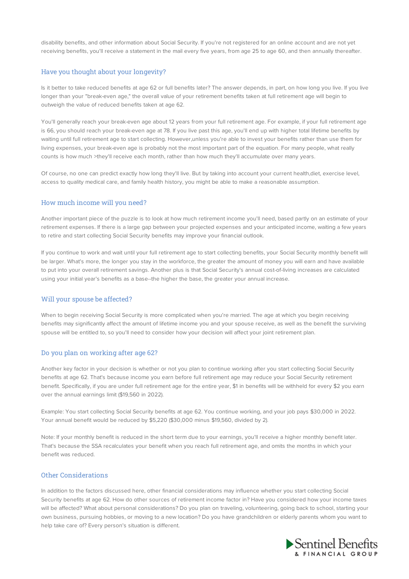disability benefits, and other information about Social Security. If you're not registered for an online account and are not yet receiving benefits, you'll receive a statement in the mail every five years, from age 25 to age 60, and then annually thereafter.

### Have you thought about your longevity?

Is it better to take reduced benefits at age 62 or full benefits later? The answer depends, in part, on how long you live. If you live longer than your "break-even age," the overall value of your retirement benefits taken at full retirement age will begin to outweigh the value of reduced benefits taken at age 62.

You'll generally reach your break-even age about 12 years from your full retirement age. For example, if your full retirement age is 66, you should reach your break-even age at 78. If you live past this age, you'll end up with higher total lifetime benefits by waiting until full retirement age to start collecting. However,unless you're able to invest your benefits rather than use them for living expenses, your break-even age is probably not the most important part of the equation. For many people, what really counts is how much >they'll receive each month, rather than how much they'll accumulate over many years.

Of course, no one can predict exactly how long they'll live. But by taking into account your current health,diet, exercise level, access to quality medical care, and family health history, you might be able to make a reasonable assumption.

#### How much income will you need?

Another important piece of the puzzle is to look at how much retirement income you'll need, based partly on an estimate of your retirement expenses. If there is a large gap between your projected expenses and your anticipated income, waiting a few years to retire and start collecting Social Security benefits may improve your financial outlook.

If you continue to work and wait until your full retirement age to start collecting benefits, your Social Security monthly benefit will be larger. What's more, the longer you stay in the workforce, the greater the amount of money you will earn and have available to put into your overall retirement savings. Another plus is that Social Security's annual cost-of-living increases are calculated using your initial year's benefits as a base--the higher the base, the greater your annual increase.

#### Will your spouse be affected?

When to begin receiving Social Security is more complicated when you're married. The age at which you begin receiving benefits may significantly affect the amount of lifetime income you and your spouse receive, as well as the benefit the surviving spouse will be entitled to, so you'll need to consider how your decision will affect your joint retirement plan.

#### Do you plan on working after age 62?

Another key factor in your decision is whether or not you plan to continue working after you start collecting Social Security benefits at age 62. That's because income you earn before full retirement age may reduce your Social Security retirement benefit. Specifically, if you are under full retirement age for the entire year, \$1 in benefits will be withheld for every \$2 you earn over the annual earnings limit (\$19,560 in 2022).

Example: You start collecting Social Security benefits at age 62. You continue working, and your job pays \$30,000 in 2022. Your annual benefit would be reduced by \$5,220 (\$30,000 minus \$19,560, divided by 2).

Note: If your monthly benefit is reduced in the short term due to your earnings, you'll receive a higher monthly benefit later. That's because the SSA recalculates your benefit when you reach full retirement age, and omits the months in which your benefit was reduced.

#### Other Considerations

In addition to the factors discussed here, other financial considerations may influence whether you start collecting Social Security benefits at age 62. How do other sources of retirement income factor in? Have you considered how your income taxes will be affected? What about personal considerations? Do you plan on traveling, volunteering, going back to school, starting your own business, pursuing hobbies, or moving to a new location? Do you have grandchildren or elderly parents whom you want to help take care of? Every person's situation is different.